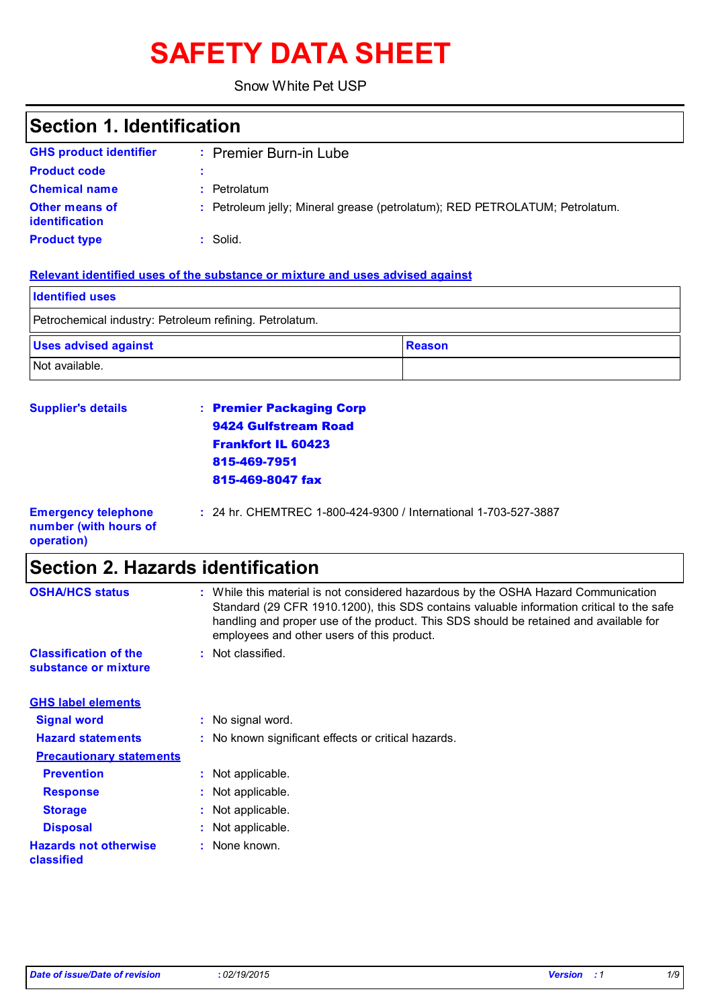# **SAFETY DATA SHEET**

Snow White Pet USP

## **Section 1. Identification**

| <b>GHS product identifier</b>                  | : Premier Burn-in Lube                                                      |
|------------------------------------------------|-----------------------------------------------------------------------------|
| <b>Product code</b>                            |                                                                             |
| <b>Chemical name</b>                           | : Petrolatum                                                                |
| <b>Other means of</b><br><b>identification</b> | : Petroleum jelly; Mineral grease (petrolatum); RED PETROLATUM; Petrolatum. |
| <b>Product type</b>                            | : Solid.                                                                    |

### **Relevant identified uses of the substance or mixture and uses advised against**

| <b>Identified uses</b>                                  |               |
|---------------------------------------------------------|---------------|
| Petrochemical industry: Petroleum refining. Petrolatum. |               |
| <b>Uses advised against</b>                             | <b>Reason</b> |
| Not available.                                          |               |

| <b>Supplier's details</b>                           | : Premier Packaging Corp                                        |
|-----------------------------------------------------|-----------------------------------------------------------------|
|                                                     | 9424 Gulfstream Road                                            |
|                                                     | <b>Frankfort IL 60423</b>                                       |
|                                                     | 815-469-7951                                                    |
|                                                     | 815-469-8047 fax                                                |
| <b>Emergency telephone</b><br>number (with hours of | : 24 hr. CHEMTREC 1-800-424-9300 / International 1-703-527-3887 |

**operation)**

## **Section 2. Hazards identification**

| <b>OSHA/HCS status</b>                               | : While this material is not considered hazardous by the OSHA Hazard Communication<br>Standard (29 CFR 1910.1200), this SDS contains valuable information critical to the safe<br>handling and proper use of the product. This SDS should be retained and available for<br>employees and other users of this product. |
|------------------------------------------------------|-----------------------------------------------------------------------------------------------------------------------------------------------------------------------------------------------------------------------------------------------------------------------------------------------------------------------|
| <b>Classification of the</b><br>substance or mixture | : Not classified.                                                                                                                                                                                                                                                                                                     |
| <b>GHS label elements</b>                            |                                                                                                                                                                                                                                                                                                                       |
| <b>Signal word</b>                                   | : No signal word.                                                                                                                                                                                                                                                                                                     |
| <b>Hazard statements</b>                             | : No known significant effects or critical hazards.                                                                                                                                                                                                                                                                   |
| <b>Precautionary statements</b>                      |                                                                                                                                                                                                                                                                                                                       |
| <b>Prevention</b>                                    | : Not applicable.                                                                                                                                                                                                                                                                                                     |
| <b>Response</b>                                      | : Not applicable.                                                                                                                                                                                                                                                                                                     |
| <b>Storage</b>                                       | : Not applicable.                                                                                                                                                                                                                                                                                                     |
| <b>Disposal</b>                                      | : Not applicable.                                                                                                                                                                                                                                                                                                     |
| <b>Hazards not otherwise</b><br>classified           | : None known.                                                                                                                                                                                                                                                                                                         |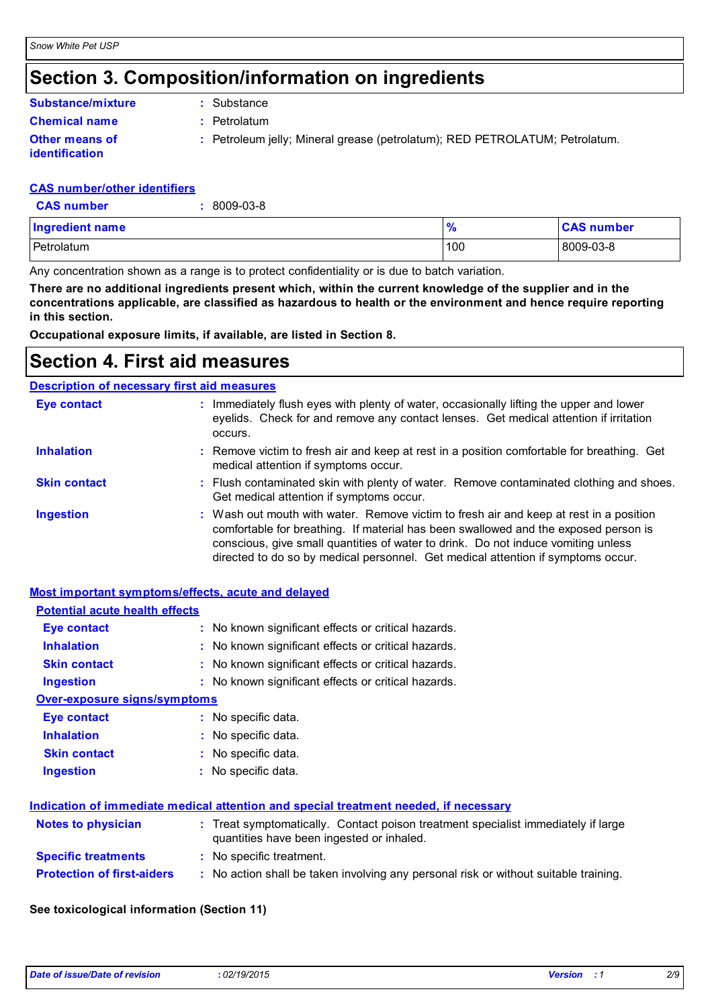## **Section 3. Composition/information on ingredients**

### **Substance/mixture**

**Chemical name :** Petrolatum **:** Substance

**Other means of** 

**identification**

**:** Petroleum jelly; Mineral grease (petrolatum); RED PETROLATUM; Petrolatum.

### **CAS number/other identifiers**

**CAS number :** 8009-03-8

| <b>Ingredient name</b> | $\prime$ | <b>CAS number</b> |
|------------------------|----------|-------------------|
| Petrolatum             | 100      | 8009-03-8         |

Any concentration shown as a range is to protect confidentiality or is due to batch variation.

**There are no additional ingredients present which, within the current knowledge of the supplier and in the concentrations applicable, are classified as hazardous to health or the environment and hence require reporting in this section.**

**Occupational exposure limits, if available, are listed in Section 8.**

## **Section 4. First aid measures**

### **Description of necessary first aid measures**

| <b>Eye contact</b>  | : Immediately flush eyes with plenty of water, occasionally lifting the upper and lower<br>eyelids. Check for and remove any contact lenses. Get medical attention if irritation<br>occurs.                                                                                                                                                            |
|---------------------|--------------------------------------------------------------------------------------------------------------------------------------------------------------------------------------------------------------------------------------------------------------------------------------------------------------------------------------------------------|
| <b>Inhalation</b>   | : Remove victim to fresh air and keep at rest in a position comfortable for breathing. Get<br>medical attention if symptoms occur.                                                                                                                                                                                                                     |
| <b>Skin contact</b> | : Flush contaminated skin with plenty of water. Remove contaminated clothing and shoes.<br>Get medical attention if symptoms occur.                                                                                                                                                                                                                    |
| <b>Ingestion</b>    | : Wash out mouth with water. Remove victim to fresh air and keep at rest in a position<br>comfortable for breathing. If material has been swallowed and the exposed person is<br>conscious, give small quantities of water to drink. Do not induce vomiting unless<br>directed to do so by medical personnel. Get medical attention if symptoms occur. |

### **Most important symptoms/effects, acute and delayed**

| <b>Potential acute health effects</b> |                                                                                      |
|---------------------------------------|--------------------------------------------------------------------------------------|
| <b>Eye contact</b>                    | : No known significant effects or critical hazards.                                  |
| <b>Inhalation</b>                     | : No known significant effects or critical hazards.                                  |
| <b>Skin contact</b>                   | : No known significant effects or critical hazards.                                  |
| <b>Ingestion</b>                      | : No known significant effects or critical hazards.                                  |
| <b>Over-exposure signs/symptoms</b>   |                                                                                      |
| <b>Eye contact</b>                    | : No specific data.                                                                  |
| <b>Inhalation</b>                     | : No specific data.                                                                  |
| <b>Skin contact</b>                   | : No specific data.                                                                  |
| <b>Ingestion</b>                      | : No specific data.                                                                  |
|                                       | Indication of immediate medical attention and special treatment needed, if necessary |
| <b>Notes to physician</b>             | : Treat symptomatically. Contact poison treatment specialist immediately if large    |

|                                   | quantities have been ingested or inhaled.                                            |
|-----------------------------------|--------------------------------------------------------------------------------------|
| <b>Specific treatments</b>        | : No specific treatment.                                                             |
| <b>Protection of first-aiders</b> | : No action shall be taken involving any personal risk or without suitable training. |

### **See toxicological information (Section 11)**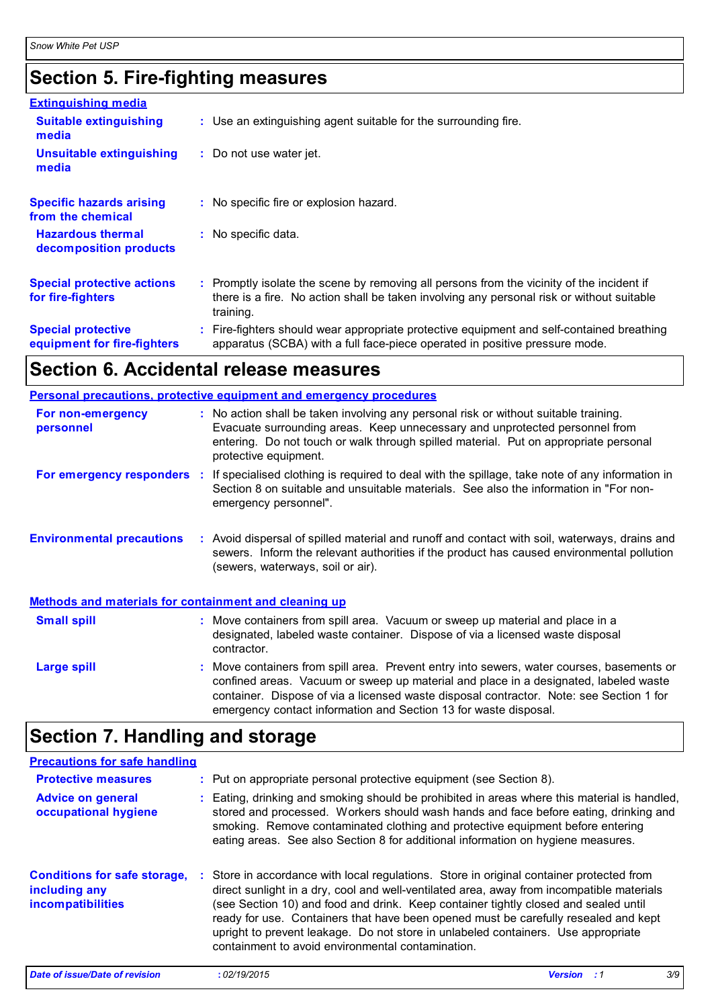## **Section 5. Fire-fighting measures**

| <b>Extinguishing media</b>                               |                                                                                                                                                                                                     |  |
|----------------------------------------------------------|-----------------------------------------------------------------------------------------------------------------------------------------------------------------------------------------------------|--|
| <b>Suitable extinguishing</b><br>media                   | : Use an extinguishing agent suitable for the surrounding fire.                                                                                                                                     |  |
| <b>Unsuitable extinguishing</b><br>media                 | : Do not use water jet.                                                                                                                                                                             |  |
| <b>Specific hazards arising</b><br>from the chemical     | : No specific fire or explosion hazard.                                                                                                                                                             |  |
| <b>Hazardous thermal</b><br>decomposition products       | : No specific data.                                                                                                                                                                                 |  |
| <b>Special protective actions</b><br>for fire-fighters   | : Promptly isolate the scene by removing all persons from the vicinity of the incident if<br>there is a fire. No action shall be taken involving any personal risk or without suitable<br>training. |  |
| <b>Special protective</b><br>equipment for fire-fighters | : Fire-fighters should wear appropriate protective equipment and self-contained breathing<br>apparatus (SCBA) with a full face-piece operated in positive pressure mode.                            |  |

## **Section 6. Accidental release measures**

|                                                              | <b>Personal precautions, protective equipment and emergency procedures</b>                                                                                                                                                                                                                                                                       |
|--------------------------------------------------------------|--------------------------------------------------------------------------------------------------------------------------------------------------------------------------------------------------------------------------------------------------------------------------------------------------------------------------------------------------|
| For non-emergency<br>personnel                               | : No action shall be taken involving any personal risk or without suitable training.<br>Evacuate surrounding areas. Keep unnecessary and unprotected personnel from<br>entering. Do not touch or walk through spilled material. Put on appropriate personal<br>protective equipment.                                                             |
|                                                              | For emergency responders : If specialised clothing is required to deal with the spillage, take note of any information in<br>Section 8 on suitable and unsuitable materials. See also the information in "For non-<br>emergency personnel".                                                                                                      |
| <b>Environmental precautions</b>                             | : Avoid dispersal of spilled material and runoff and contact with soil, waterways, drains and<br>sewers. Inform the relevant authorities if the product has caused environmental pollution<br>(sewers, waterways, soil or air).                                                                                                                  |
| <b>Methods and materials for containment and cleaning up</b> |                                                                                                                                                                                                                                                                                                                                                  |
| <b>Small spill</b>                                           | : Move containers from spill area. Vacuum or sweep up material and place in a<br>designated, labeled waste container. Dispose of via a licensed waste disposal<br>contractor.                                                                                                                                                                    |
| Large spill                                                  | : Move containers from spill area. Prevent entry into sewers, water courses, basements or<br>confined areas. Vacuum or sweep up material and place in a designated, labeled waste<br>container. Dispose of via a licensed waste disposal contractor. Note: see Section 1 for<br>emergency contact information and Section 13 for waste disposal. |

## **Section 7. Handling and storage**

| Date of issue/Date of revision                                            | : 02/19/2015                                                                                                                                                                                                                                                                                                                                                                                                                                                                                                  | <b>Version</b> | 3/9 |
|---------------------------------------------------------------------------|---------------------------------------------------------------------------------------------------------------------------------------------------------------------------------------------------------------------------------------------------------------------------------------------------------------------------------------------------------------------------------------------------------------------------------------------------------------------------------------------------------------|----------------|-----|
| <b>Conditions for safe storage,</b><br>including any<br>incompatibilities | : Store in accordance with local regulations. Store in original container protected from<br>direct sunlight in a dry, cool and well-ventilated area, away from incompatible materials<br>(see Section 10) and food and drink. Keep container tightly closed and sealed until<br>ready for use. Containers that have been opened must be carefully resealed and kept<br>upright to prevent leakage. Do not store in unlabeled containers. Use appropriate<br>containment to avoid environmental contamination. |                |     |
| <b>Advice on general</b><br>occupational hygiene                          | : Eating, drinking and smoking should be prohibited in areas where this material is handled,<br>stored and processed. Workers should wash hands and face before eating, drinking and<br>smoking. Remove contaminated clothing and protective equipment before entering<br>eating areas. See also Section 8 for additional information on hygiene measures.                                                                                                                                                    |                |     |
| <b>Protective measures</b>                                                | : Put on appropriate personal protective equipment (see Section 8).                                                                                                                                                                                                                                                                                                                                                                                                                                           |                |     |
| <b>Precautions for safe handling</b>                                      |                                                                                                                                                                                                                                                                                                                                                                                                                                                                                                               |                |     |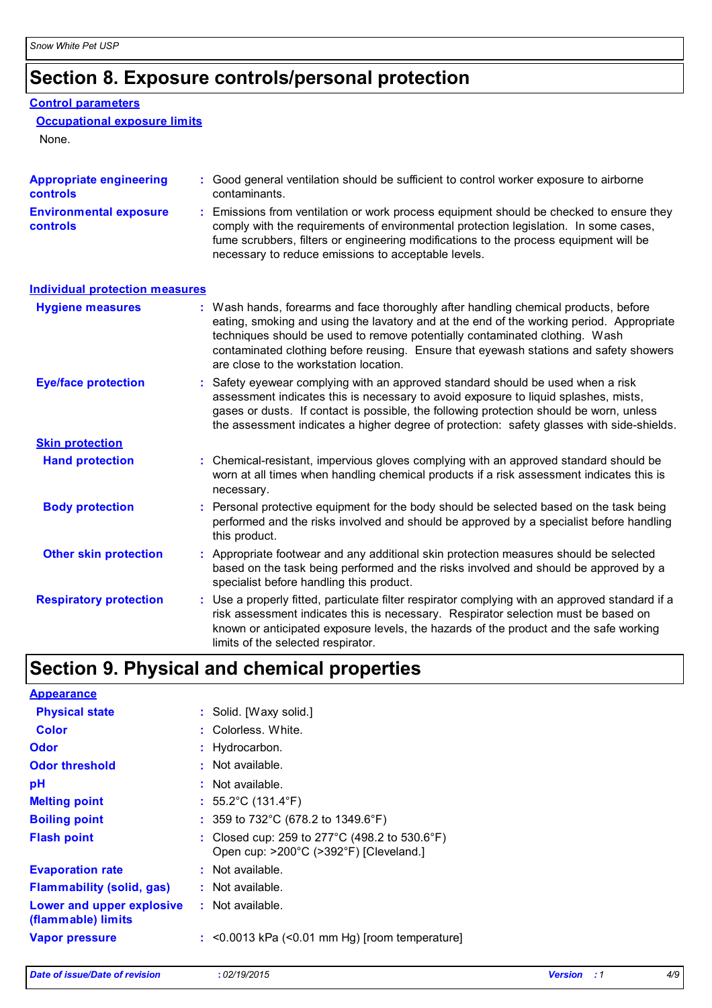## **Section 8. Exposure controls/personal protection**

### **Control parameters**

### **Occupational exposure limits**

None.

| <b>Appropriate engineering</b><br>controls | : Good general ventilation should be sufficient to control worker exposure to airborne<br>contaminants.                                                                                                                                                                                                                                                                                           |
|--------------------------------------------|---------------------------------------------------------------------------------------------------------------------------------------------------------------------------------------------------------------------------------------------------------------------------------------------------------------------------------------------------------------------------------------------------|
| <b>Environmental exposure</b><br>controls  | Emissions from ventilation or work process equipment should be checked to ensure they<br>comply with the requirements of environmental protection legislation. In some cases,<br>fume scrubbers, filters or engineering modifications to the process equipment will be<br>necessary to reduce emissions to acceptable levels.                                                                     |
| <b>Individual protection measures</b>      |                                                                                                                                                                                                                                                                                                                                                                                                   |
| <b>Hygiene measures</b>                    | : Wash hands, forearms and face thoroughly after handling chemical products, before<br>eating, smoking and using the lavatory and at the end of the working period. Appropriate<br>techniques should be used to remove potentially contaminated clothing. Wash<br>contaminated clothing before reusing. Ensure that eyewash stations and safety showers<br>are close to the workstation location. |
| <b>Eye/face protection</b>                 | Safety eyewear complying with an approved standard should be used when a risk<br>assessment indicates this is necessary to avoid exposure to liquid splashes, mists,<br>gases or dusts. If contact is possible, the following protection should be worn, unless<br>the assessment indicates a higher degree of protection: safety glasses with side-shields.                                      |
| <b>Skin protection</b>                     |                                                                                                                                                                                                                                                                                                                                                                                                   |
| <b>Hand protection</b>                     | : Chemical-resistant, impervious gloves complying with an approved standard should be<br>worn at all times when handling chemical products if a risk assessment indicates this is<br>necessary.                                                                                                                                                                                                   |
| <b>Body protection</b>                     | Personal protective equipment for the body should be selected based on the task being<br>performed and the risks involved and should be approved by a specialist before handling<br>this product.                                                                                                                                                                                                 |
| <b>Other skin protection</b>               | : Appropriate footwear and any additional skin protection measures should be selected<br>based on the task being performed and the risks involved and should be approved by a<br>specialist before handling this product.                                                                                                                                                                         |
| <b>Respiratory protection</b>              | : Use a properly fitted, particulate filter respirator complying with an approved standard if a<br>risk assessment indicates this is necessary. Respirator selection must be based on<br>known or anticipated exposure levels, the hazards of the product and the safe working<br>limits of the selected respirator.                                                                              |

## **Section 9. Physical and chemical properties**

| <b>Appearance</b>                               |                                                                                           |
|-------------------------------------------------|-------------------------------------------------------------------------------------------|
| <b>Physical state</b>                           | : Solid. [Waxy solid.]                                                                    |
| Color                                           | : Colorless. White.                                                                       |
| <b>Odor</b>                                     | : Hydrocarbon.                                                                            |
| <b>Odor threshold</b>                           | $\cdot$ Not available.                                                                    |
| рH                                              | : Not available.                                                                          |
| <b>Melting point</b>                            | : $55.2^{\circ}$ C (131.4 $^{\circ}$ F)                                                   |
| <b>Boiling point</b>                            | : 359 to 732°C (678.2 to 1349.6°F)                                                        |
| <b>Flash point</b>                              | : Closed cup: 259 to 277 °C (498.2 to 530.6 °F)<br>Open cup: >200°C (>392°F) [Cleveland.] |
| <b>Evaporation rate</b>                         | : Not available.                                                                          |
| <b>Flammability (solid, gas)</b>                | : Not available.                                                                          |
| Lower and upper explosive<br>(flammable) limits | $:$ Not available.                                                                        |
| <b>Vapor pressure</b>                           | $:$ <0.0013 kPa (<0.01 mm Hg) [room temperature]                                          |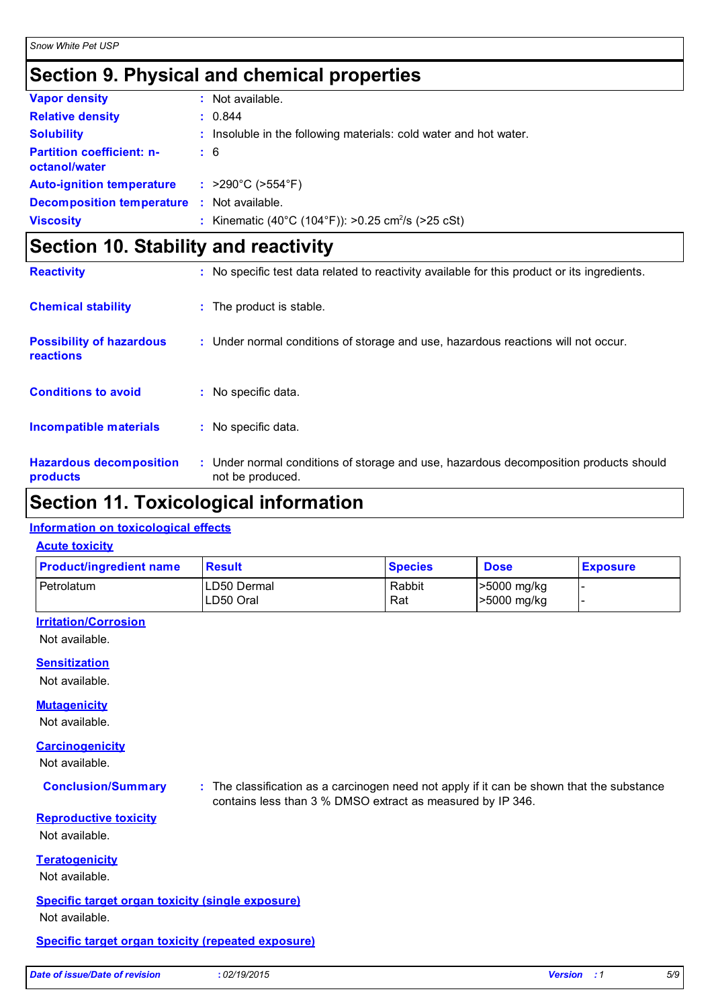## **Section 9. Physical and chemical properties**

| <b>Vapor density</b>                              | : Not available.                                                  |
|---------------------------------------------------|-------------------------------------------------------------------|
| <b>Relative density</b>                           | : 0.844                                                           |
| <b>Solubility</b>                                 | : Insoluble in the following materials: cold water and hot water. |
| <b>Partition coefficient: n-</b><br>octanol/water | $\pm 6$                                                           |
| <b>Auto-ignition temperature</b>                  | : >290°C (>554°F)                                                 |
| <b>Decomposition temperature</b>                  | : Not available.                                                  |
| <b>Viscosity</b>                                  | : Kinematic (40°C (104°F)): >0.25 cm <sup>2</sup> /s (>25 cSt)    |

## **Section 10. Stability and reactivity**

| <b>Reactivity</b>                            | : No specific test data related to reactivity available for this product or its ingredients.              |
|----------------------------------------------|-----------------------------------------------------------------------------------------------------------|
| <b>Chemical stability</b>                    | : The product is stable.                                                                                  |
| <b>Possibility of hazardous</b><br>reactions | : Under normal conditions of storage and use, hazardous reactions will not occur.                         |
| <b>Conditions to avoid</b>                   | $:$ No specific data.                                                                                     |
| <b>Incompatible materials</b>                | : No specific data.                                                                                       |
| <b>Hazardous decomposition</b><br>products   | : Under normal conditions of storage and use, hazardous decomposition products should<br>not be produced. |

### **Section 11. Toxicological information**

### **Information on toxicological effects**

### **Acute toxicity**

| <b>Product/ingredient name</b> | <b>Result</b>       | <b>Species</b> | <b>Dose</b> | <b>Exposure</b> |
|--------------------------------|---------------------|----------------|-------------|-----------------|
| Petrolatum                     | <b>ILD50 Dermal</b> | Rabbit         | >5000 mg/kg |                 |
|                                | ILD50 Oral          | Rat            | >5000 mg/kg |                 |

### **Irritation/Corrosion**

Not available.

### **Sensitization**

Not available.

### **Mutagenicity**

Not available.

### **Carcinogenicity**

Not available.

**Conclusion/Summary :** The classification as a carcinogen need not apply if it can be shown that the substance contains less than 3 % DMSO extract as measured by IP 346.

### **Reproductive toxicity**

Not available.

### **Teratogenicity**

Not available.

### **Specific target organ toxicity (single exposure)**

Not available.

### **Specific target organ toxicity (repeated exposure)**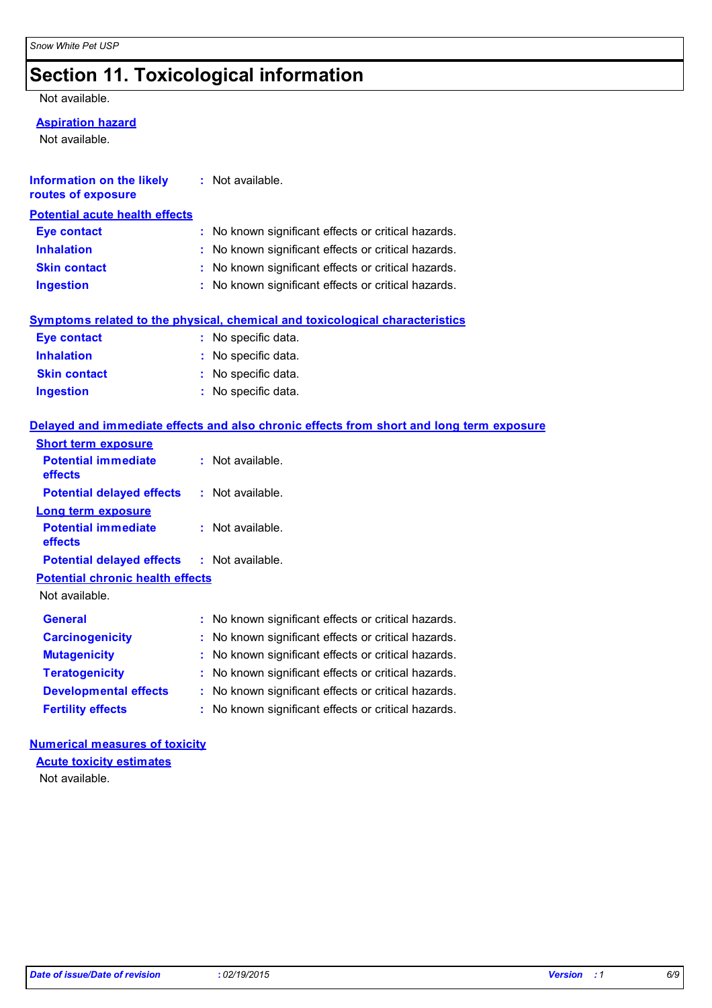## **Section 11. Toxicological information**

### Not available.

### **Aspiration hazard**

Not available.

| Information on the likely<br>routes of exposure | : Not available.                                    |
|-------------------------------------------------|-----------------------------------------------------|
| <b>Potential acute health effects</b>           |                                                     |
| <b>Eye contact</b>                              | : No known significant effects or critical hazards. |
| <b>Inhalation</b>                               | : No known significant effects or critical hazards. |
| <b>Skin contact</b>                             | : No known significant effects or critical hazards. |
| <b>Ingestion</b>                                | : No known significant effects or critical hazards. |
|                                                 |                                                     |

### **Symptoms related to the physical, chemical and toxicological characteristics**

| <b>Eye contact</b>  | : No specific data. |
|---------------------|---------------------|
| <b>Inhalation</b>   | : No specific data. |
| <b>Skin contact</b> | : No specific data. |
| <b>Ingestion</b>    | : No specific data. |

### **Delayed and immediate effects and also chronic effects from short and long term exposure**

| <b>Short term exposure</b>                        |                                                        |
|---------------------------------------------------|--------------------------------------------------------|
| <b>Potential immediate</b><br>effects             | $:$ Not available.                                     |
| <b>Potential delayed effects</b>                  | : Not available.                                       |
| Long term exposure                                |                                                        |
| <b>Potential immediate</b><br>effects             | : Not available.                                       |
| <b>Potential delayed effects : Not available.</b> |                                                        |
| <b>Potential chronic health effects</b>           |                                                        |
| Not available.                                    |                                                        |
| <b>General</b>                                    | : No known significant effects or critical hazards.    |
| <b>Carcinogenicity</b>                            | : No known significant effects or critical hazards.    |
| <b>Mutagenicity</b>                               | : No known significant effects or critical hazards.    |
| <b>Teratogenicity</b>                             | No known significant effects or critical hazards.      |
| <b>Developmental effects</b>                      | No known significant effects or critical hazards.<br>÷ |
| <b>Fertility effects</b>                          | : No known significant effects or critical hazards.    |

## **Numerical measures of toxicity**

Not available. **Acute toxicity estimates**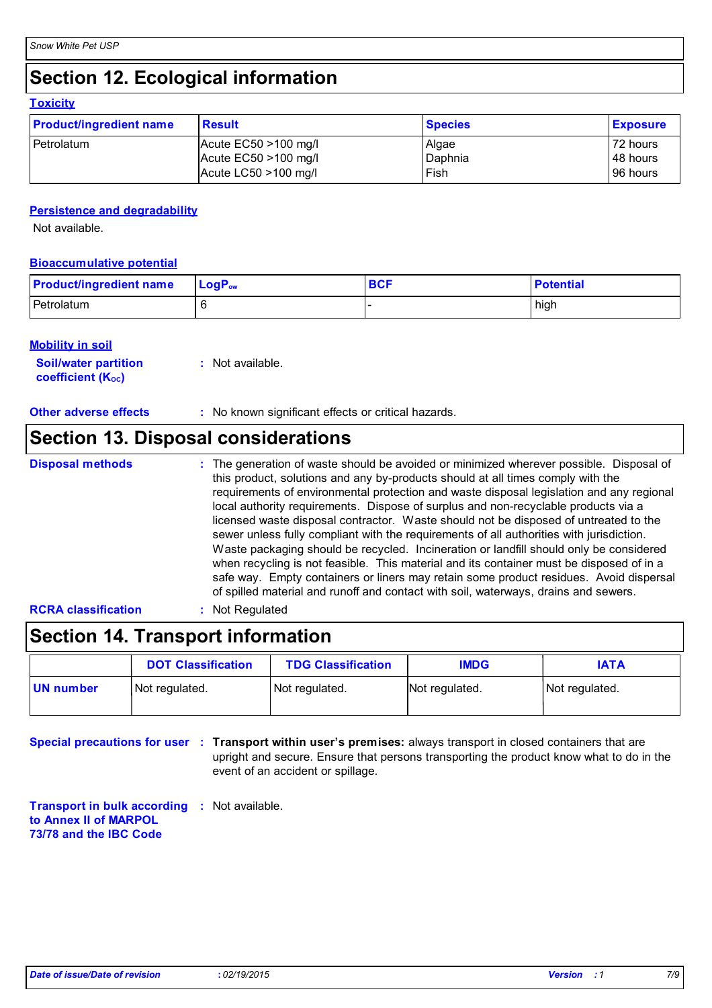## **Section 12. Ecological information**

### **Toxicity**

| <b>Product/ingredient name</b> | <b>Result</b>           | <b>Species</b> | <b>Exposure</b> |
|--------------------------------|-------------------------|----------------|-----------------|
| l Petrolatum                   | Acute $EC50 > 100$ mg/l | Algae          | 72 hours        |
|                                | Acute $EC50 > 100$ mg/l | Daphnia        | 48 hours        |
|                                | Acute LC50 >100 mg/l    | Fish           | 96 hours        |

### **Persistence and degradability**

Not available.

### **Bioaccumulative potential**

| <b>Product/ingredient name</b> | $\mathsf{LoaP}_\mathsf{ow}$ | <b>BCF</b> | <b>Potential</b> |
|--------------------------------|-----------------------------|------------|------------------|
| Petrolatum                     |                             |            | high             |

### **Mobility in soil**

| <b>Soil/water partition</b>    | : Not available. |
|--------------------------------|------------------|
| coefficient (K <sub>oc</sub> ) |                  |

**Other adverse effects** : No known significant effects or critical hazards.

## **Section 13. Disposal considerations**

- **Disposal methods :**
- The generation of waste should be avoided or minimized wherever possible. Disposal of this product, solutions and any by-products should at all times comply with the requirements of environmental protection and waste disposal legislation and any regional local authority requirements. Dispose of surplus and non-recyclable products via a licensed waste disposal contractor. Waste should not be disposed of untreated to the sewer unless fully compliant with the requirements of all authorities with jurisdiction. Waste packaging should be recycled. Incineration or landfill should only be considered when recycling is not feasible. This material and its container must be disposed of in a safe way. Empty containers or liners may retain some product residues. Avoid dispersal of spilled material and runoff and contact with soil, waterways, drains and sewers.

### **RCRA classification :** Not Regulated

## **Section 14. Transport information**

|           | <b>DOT Classification</b> | <b>TDG Classification</b> | <b>IMDG</b>    | <b>IATA</b>    |
|-----------|---------------------------|---------------------------|----------------|----------------|
| UN number | Not regulated.            | Not regulated.            | Not regulated. | Not regulated. |

**Special precautions for user : Transport within user's premises: always transport in closed containers that are** upright and secure. Ensure that persons transporting the product know what to do in the event of an accident or spillage.

**Transport in bulk according :** Not available. **to Annex II of MARPOL 73/78 and the IBC Code**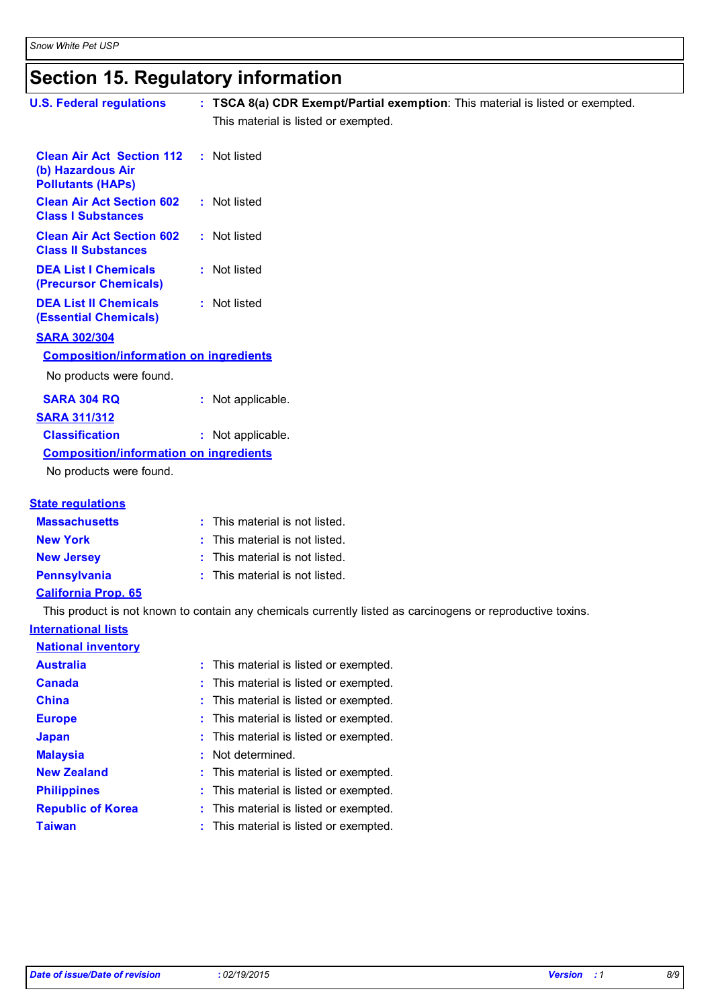## **Section 15. Regulatory information**

| <b>U.S. Federal regulations</b>                                                   | : TSCA 8(a) CDR Exempt/Partial exemption: This material is listed or exempted.                             |
|-----------------------------------------------------------------------------------|------------------------------------------------------------------------------------------------------------|
|                                                                                   | This material is listed or exempted.                                                                       |
|                                                                                   |                                                                                                            |
| <b>Clean Air Act Section 112</b><br>(b) Hazardous Air<br><b>Pollutants (HAPs)</b> | : Not listed                                                                                               |
| <b>Clean Air Act Section 602</b><br><b>Class I Substances</b>                     | : Not listed                                                                                               |
| <b>Clean Air Act Section 602</b><br><b>Class II Substances</b>                    | : Not listed                                                                                               |
| <b>DEA List I Chemicals</b><br>(Precursor Chemicals)                              | : Not listed                                                                                               |
| <b>DEA List II Chemicals</b><br><b>(Essential Chemicals)</b>                      | : Not listed                                                                                               |
| <b>SARA 302/304</b>                                                               |                                                                                                            |
| <b>Composition/information on ingredients</b>                                     |                                                                                                            |
| No products were found.                                                           |                                                                                                            |
| <b>SARA 304 RQ</b>                                                                | : Not applicable.                                                                                          |
| <b>SARA 311/312</b>                                                               |                                                                                                            |
| <b>Classification</b>                                                             | : Not applicable.                                                                                          |
| <b>Composition/information on ingredients</b>                                     |                                                                                                            |
| No products were found.                                                           |                                                                                                            |
| <b>State regulations</b>                                                          |                                                                                                            |
| <b>Massachusetts</b>                                                              | : This material is not listed.                                                                             |
| <b>New York</b>                                                                   | This material is not listed.                                                                               |
| <b>New Jersey</b>                                                                 | This material is not listed.                                                                               |
| <b>Pennsylvania</b>                                                               | : This material is not listed.                                                                             |
| <b>California Prop. 65</b>                                                        |                                                                                                            |
|                                                                                   | This product is not known to contain any chemicals currently listed as carcinogens or reproductive toxins. |
| <b>International lists</b>                                                        |                                                                                                            |
| <b>National inventory</b>                                                         |                                                                                                            |
| <b>Australia</b>                                                                  | This material is listed or exempted.                                                                       |
| <b>Canada</b>                                                                     | This material is listed or exempted.                                                                       |
| <b>China</b>                                                                      | This material is listed or exempted.                                                                       |
| <b>Europe</b>                                                                     | This material is listed or exempted.                                                                       |
| <b>Japan</b>                                                                      | This material is listed or exempted.                                                                       |
| <b>Malaysia</b>                                                                   | Not determined.                                                                                            |
| <b>New Zealand</b>                                                                | This material is listed or exempted.                                                                       |
| <b>Philippines</b>                                                                | This material is listed or exempted.                                                                       |

**Republic of Korea :** This material is listed or exempted.

**Taiwan :** This material is listed or exempted.